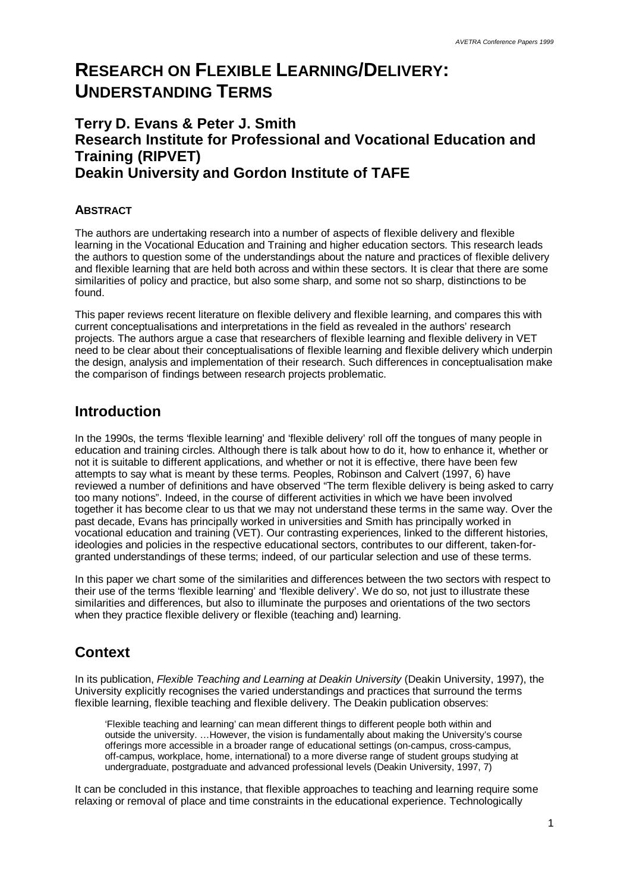# **RESEARCH ON FLEXIBLE LEARNING/DELIVERY: UNDERSTANDING TERMS**

### **Terry D. Evans & Peter J. Smith Research Institute for Professional and Vocational Education and Training (RIPVET) Deakin University and Gordon Institute of TAFE**

#### **ABSTRACT**

The authors are undertaking research into a number of aspects of flexible delivery and flexible learning in the Vocational Education and Training and higher education sectors. This research leads the authors to question some of the understandings about the nature and practices of flexible delivery and flexible learning that are held both across and within these sectors. It is clear that there are some similarities of policy and practice, but also some sharp, and some not so sharp, distinctions to be found.

This paper reviews recent literature on flexible delivery and flexible learning, and compares this with current conceptualisations and interpretations in the field as revealed in the authors' research projects. The authors argue a case that researchers of flexible learning and flexible delivery in VET need to be clear about their conceptualisations of flexible learning and flexible delivery which underpin the design, analysis and implementation of their research. Such differences in conceptualisation make the comparison of findings between research projects problematic.

### **Introduction**

In the 1990s, the terms 'flexible learning' and 'flexible delivery' roll off the tongues of many people in education and training circles. Although there is talk about how to do it, how to enhance it, whether or not it is suitable to different applications, and whether or not it is effective, there have been few attempts to say what is meant by these terms. Peoples, Robinson and Calvert (1997, 6) have reviewed a number of definitions and have observed "The term flexible delivery is being asked to carry too many notions". Indeed, in the course of different activities in which we have been involved together it has become clear to us that we may not understand these terms in the same way. Over the past decade, Evans has principally worked in universities and Smith has principally worked in vocational education and training (VET). Our contrasting experiences, linked to the different histories, ideologies and policies in the respective educational sectors, contributes to our different, taken-forgranted understandings of these terms; indeed, of our particular selection and use of these terms.

In this paper we chart some of the similarities and differences between the two sectors with respect to their use of the terms 'flexible learning' and 'flexible delivery'. We do so, not just to illustrate these similarities and differences, but also to illuminate the purposes and orientations of the two sectors when they practice flexible delivery or flexible (teaching and) learning.

# **Context**

In its publication, *Flexible Teaching and Learning at Deakin University* (Deakin University, 1997), the University explicitly recognises the varied understandings and practices that surround the terms flexible learning, flexible teaching and flexible delivery. The Deakin publication observes:

'Flexible teaching and learning' can mean different things to different people both within and outside the university. … However, the vision is fundamentally about making the University's course offerings more accessible in a broader range of educational settings (on-campus, cross-campus, off-campus, workplace, home, international) to a more diverse range of student groups studying at undergraduate, postgraduate and advanced professional levels (Deakin University, 1997, 7)

It can be concluded in this instance, that flexible approaches to teaching and learning require some relaxing or removal of place and time constraints in the educational experience. Technologically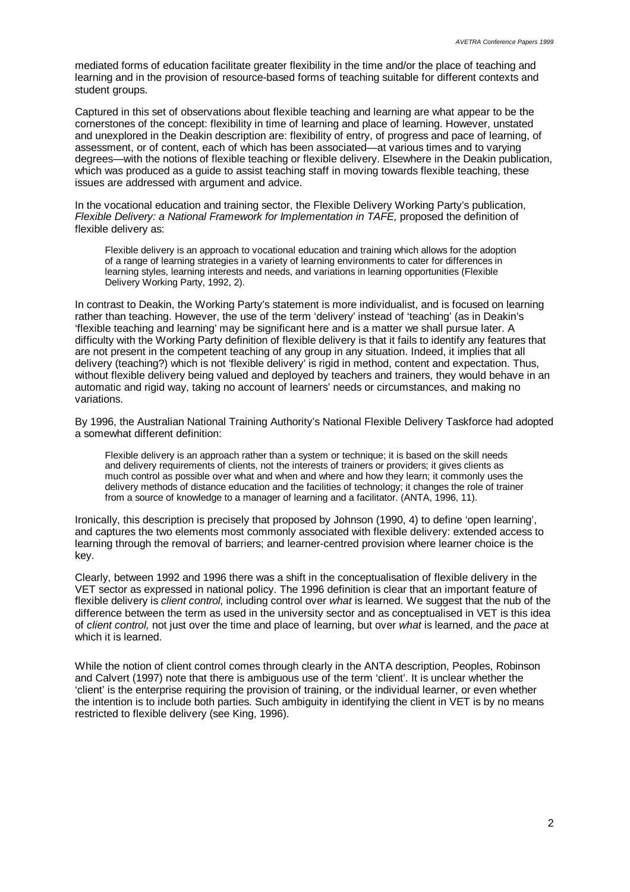mediated forms of education facilitate greater flexibility in the time and/or the place of teaching and learning and in the provision of resource-based forms of teaching suitable for different contexts and student groups.

Captured in this set of observations about flexible teaching and learning are what appear to be the cornerstones of the concept: flexibility in time of learning and place of learning. However, unstated and unexplored in the Deakin description are: flexibility of entry, of progress and pace of learning, of assessment, or of content, each of which has been associated— at various times and to varying degrees— with the notions of flexible teaching or flexible delivery. Elsewhere in the Deakin publication, which was produced as a guide to assist teaching staff in moving towards flexible teaching, these issues are addressed with argument and advice.

In the vocational education and training sector, the Flexible Delivery Working Party's publication, *Flexible Delivery: a National Framework for Implementation in TAFE,* proposed the definition of flexible delivery as:

Flexible delivery is an approach to vocational education and training which allows for the adoption of a range of learning strategies in a variety of learning environments to cater for differences in learning styles, learning interests and needs, and variations in learning opportunities (Flexible Delivery Working Party, 1992, 2).

In contrast to Deakin, the Working Party's statement is more individualist, and is focused on learning rather than teaching. However, the use of the term 'delivery' instead of 'teaching' (as in Deakin's 'flexible teaching and learning' may be significant here and is a matter we shall pursue later. A difficulty with the Working Party definition of flexible delivery is that it fails to identify any features that are not present in the competent teaching of any group in any situation. Indeed, it implies that all delivery (teaching?) which is not 'flexible delivery' is rigid in method, content and expectation. Thus, without flexible delivery being valued and deployed by teachers and trainers, they would behave in an automatic and rigid way, taking no account of learners' needs or circumstances, and making no variations.

By 1996, the Australian National Training Authority's National Flexible Delivery Taskforce had adopted a somewhat different definition:

Flexible delivery is an approach rather than a system or technique; it is based on the skill needs and delivery requirements of clients, not the interests of trainers or providers; it gives clients as much control as possible over what and when and where and how they learn; it commonly uses the delivery methods of distance education and the facilities of technology; it changes the role of trainer from a source of knowledge to a manager of learning and a facilitator. (ANTA, 1996, 11).

Ironically, this description is precisely that proposed by Johnson (1990, 4) to define 'open learning', and captures the two elements most commonly associated with flexible delivery: extended access to learning through the removal of barriers; and learner-centred provision where learner choice is the key.

Clearly, between 1992 and 1996 there was a shift in the conceptualisation of flexible delivery in the VET sector as expressed in national policy. The 1996 definition is clear that an important feature of flexible delivery is *client control,* including control over *what* is learned. We suggest that the nub of the difference between the term as used in the university sector and as conceptualised in VET is this idea of *client control,* not just over the time and place of learning, but over *what* is learned, and the *pace* at which it is learned.

While the notion of client control comes through clearly in the ANTA description, Peoples, Robinson and Calvert (1997) note that there is ambiguous use of the term 'client'. It is unclear whether the 'client' is the enterprise requiring the provision of training, or the individual learner, or even whether the intention is to include both parties. Such ambiguity in identifying the client in VET is by no means restricted to flexible delivery (see King, 1996).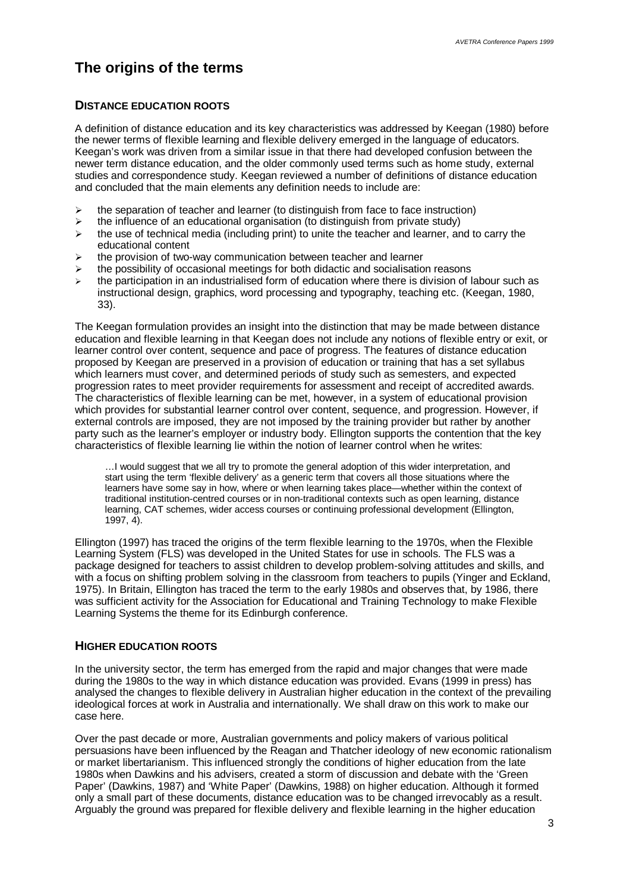# **The origins of the terms**

#### **DISTANCE EDUCATION ROOTS**

A definition of distance education and its key characteristics was addressed by Keegan (1980) before the newer terms of flexible learning and flexible delivery emerged in the language of educators. Keegan's work was driven from a similar issue in that there had developed confusion between the newer term distance education, and the older commonly used terms such as home study, external studies and correspondence study. Keegan reviewed a number of definitions of distance education and concluded that the main elements any definition needs to include are:

- $\triangleright$  the separation of teacher and learner (to distinguish from face to face instruction)
- $\triangleright$  the influence of an educational organisation (to distinguish from private study)
- $\triangleright$  the use of technical media (including print) to unite the teacher and learner, and to carry the educational content
- $\triangleright$  the provision of two-way communication between teacher and learner
- $\triangleright$  the possibility of occasional meetings for both didactic and socialisation reasons
- $\triangleright$  the participation in an industrialised form of education where there is division of labour such as instructional design, graphics, word processing and typography, teaching etc. (Keegan, 1980, 33).

The Keegan formulation provides an insight into the distinction that may be made between distance education and flexible learning in that Keegan does not include any notions of flexible entry or exit, or learner control over content, sequence and pace of progress. The features of distance education proposed by Keegan are preserved in a provision of education or training that has a set syllabus which learners must cover, and determined periods of study such as semesters, and expected progression rates to meet provider requirements for assessment and receipt of accredited awards. The characteristics of flexible learning can be met, however, in a system of educational provision which provides for substantial learner control over content, sequence, and progression. However, if external controls are imposed, they are not imposed by the training provider but rather by another party such as the learner's employer or industry body. Ellington supports the contention that the key characteristics of flexible learning lie within the notion of learner control when he writes:

… I would suggest that we all try to promote the general adoption of this wider interpretation, and start using the term 'flexible delivery' as a generic term that covers all those situations where the learners have some say in how, where or when learning takes place— whether within the context of traditional institution-centred courses or in non-traditional contexts such as open learning, distance learning, CAT schemes, wider access courses or continuing professional development (Ellington, 1997, 4).

Ellington (1997) has traced the origins of the term flexible learning to the 1970s, when the Flexible Learning System (FLS) was developed in the United States for use in schools. The FLS was a package designed for teachers to assist children to develop problem-solving attitudes and skills, and with a focus on shifting problem solving in the classroom from teachers to pupils (Yinger and Eckland, 1975). In Britain, Ellington has traced the term to the early 1980s and observes that, by 1986, there was sufficient activity for the Association for Educational and Training Technology to make Flexible Learning Systems the theme for its Edinburgh conference.

#### **HIGHER EDUCATION ROOTS**

In the university sector, the term has emerged from the rapid and major changes that were made during the 1980s to the way in which distance education was provided. Evans (1999 in press) has analysed the changes to flexible delivery in Australian higher education in the context of the prevailing ideological forces at work in Australia and internationally. We shall draw on this work to make our case here.

Over the past decade or more, Australian governments and policy makers of various political persuasions have been influenced by the Reagan and Thatcher ideology of new economic rationalism or market libertarianism. This influenced strongly the conditions of higher education from the late 1980s when Dawkins and his advisers, created a storm of discussion and debate with the 'Green Paper' (Dawkins, 1987) and 'White Paper' (Dawkins, 1988) on higher education. Although it formed only a small part of these documents, distance education was to be changed irrevocably as a result. Arguably the ground was prepared for flexible delivery and flexible learning in the higher education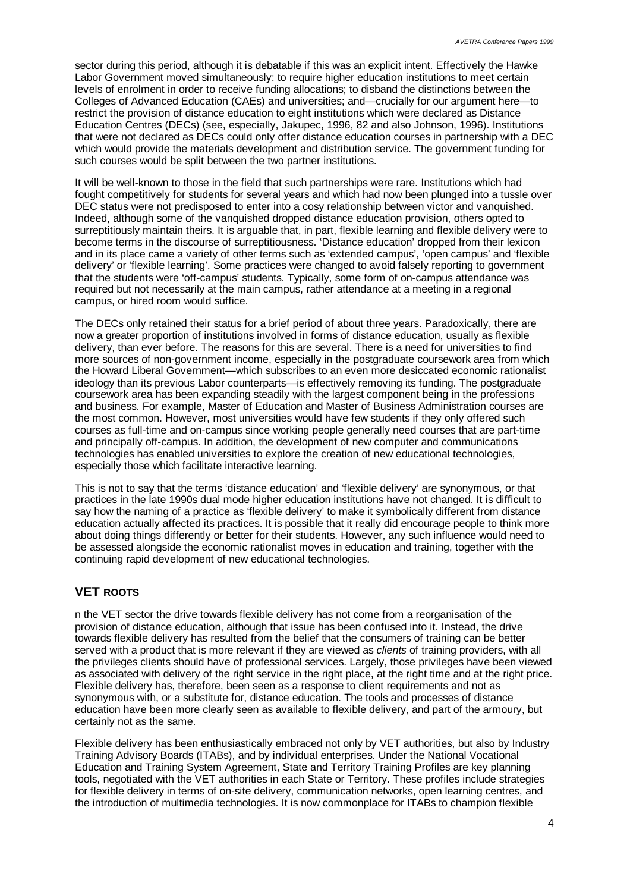sector during this period, although it is debatable if this was an explicit intent. Effectively the Hawke Labor Government moved simultaneously: to require higher education institutions to meet certain levels of enrolment in order to receive funding allocations; to disband the distinctions between the Colleges of Advanced Education (CAEs) and universities; and— crucially for our argument here— to restrict the provision of distance education to eight institutions which were declared as Distance Education Centres (DECs) (see, especially, Jakupec, 1996, 82 and also Johnson, 1996). Institutions that were not declared as DECs could only offer distance education courses in partnership with a DEC which would provide the materials development and distribution service. The government funding for such courses would be split between the two partner institutions.

It will be well-known to those in the field that such partnerships were rare. Institutions which had fought competitively for students for several years and which had now been plunged into a tussle over DEC status were not predisposed to enter into a cosy relationship between victor and vanquished. Indeed, although some of the vanquished dropped distance education provision, others opted to surreptitiously maintain theirs. It is arguable that, in part, flexible learning and flexible delivery were to become terms in the discourse of surreptitiousness. 'Distance education' dropped from their lexicon and in its place came a variety of other terms such as 'extended campus', 'open campus' and 'flexible delivery' or 'flexible learning'. Some practices were changed to avoid falsely reporting to government that the students were 'off-campus' students. Typically, some form of on-campus attendance was required but not necessarily at the main campus, rather attendance at a meeting in a regional campus, or hired room would suffice.

The DECs only retained their status for a brief period of about three years. Paradoxically, there are now a greater proportion of institutions involved in forms of distance education, usually as flexible delivery, than ever before. The reasons for this are several. There is a need for universities to find more sources of non-government income, especially in the postgraduate coursework area from which the Howard Liberal Government— which subscribes to an even more desiccated economic rationalist ideology than its previous Labor counterparts— is effectively removing its funding. The postgraduate coursework area has been expanding steadily with the largest component being in the professions and business. For example, Master of Education and Master of Business Administration courses are the most common. However, most universities would have few students if they only offered such courses as full-time and on-campus since working people generally need courses that are part-time and principally off-campus. In addition, the development of new computer and communications technologies has enabled universities to explore the creation of new educational technologies, especially those which facilitate interactive learning.

This is not to say that the terms 'distance education' and 'flexible delivery' are synonymous, or that practices in the late 1990s dual mode higher education institutions have not changed. It is difficult to say how the naming of a practice as 'flexible delivery' to make it symbolically different from distance education actually affected its practices. It is possible that it really did encourage people to think more about doing things differently or better for their students. However, any such influence would need to be assessed alongside the economic rationalist moves in education and training, together with the continuing rapid development of new educational technologies.

### **VET ROOTS**

n the VET sector the drive towards flexible delivery has not come from a reorganisation of the provision of distance education, although that issue has been confused into it. Instead, the drive towards flexible delivery has resulted from the belief that the consumers of training can be better served with a product that is more relevant if they are viewed as *clients* of training providers, with all the privileges clients should have of professional services. Largely, those privileges have been viewed as associated with delivery of the right service in the right place, at the right time and at the right price. Flexible delivery has, therefore, been seen as a response to client requirements and not as synonymous with, or a substitute for, distance education. The tools and processes of distance education have been more clearly seen as available to flexible delivery, and part of the armoury, but certainly not as the same.

Flexible delivery has been enthusiastically embraced not only by VET authorities, but also by Industry Training Advisory Boards (ITABs), and by individual enterprises. Under the National Vocational Education and Training System Agreement, State and Territory Training Profiles are key planning tools, negotiated with the VET authorities in each State or Territory. These profiles include strategies for flexible delivery in terms of on-site delivery, communication networks, open learning centres, and the introduction of multimedia technologies. It is now commonplace for ITABs to champion flexible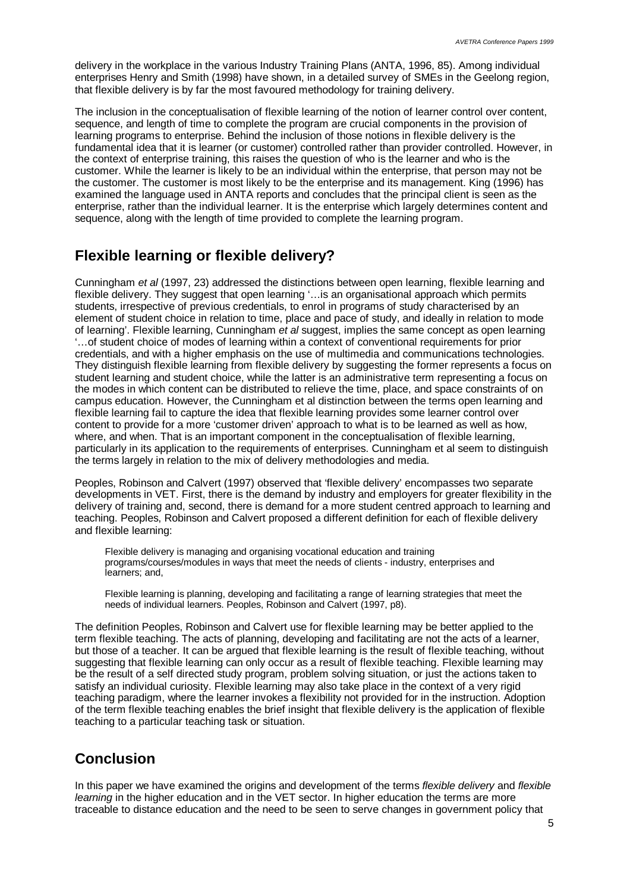delivery in the workplace in the various Industry Training Plans (ANTA, 1996, 85). Among individual enterprises Henry and Smith (1998) have shown, in a detailed survey of SMEs in the Geelong region, that flexible delivery is by far the most favoured methodology for training delivery.

The inclusion in the conceptualisation of flexible learning of the notion of learner control over content, sequence, and length of time to complete the program are crucial components in the provision of learning programs to enterprise. Behind the inclusion of those notions in flexible delivery is the fundamental idea that it is learner (or customer) controlled rather than provider controlled. However, in the context of enterprise training, this raises the question of who is the learner and who is the customer. While the learner is likely to be an individual within the enterprise, that person may not be the customer. The customer is most likely to be the enterprise and its management. King (1996) has examined the language used in ANTA reports and concludes that the principal client is seen as the enterprise, rather than the individual learner. It is the enterprise which largely determines content and sequence, along with the length of time provided to complete the learning program.

# **Flexible learning or flexible delivery?**

Cunningham *et al* (1997, 23) addressed the distinctions between open learning, flexible learning and flexible delivery. They suggest that open learning '… is an organisational approach which permits students, irrespective of previous credentials, to enrol in programs of study characterised by an element of student choice in relation to time, place and pace of study, and ideally in relation to mode of learning'. Flexible learning, Cunningham *et al* suggest, implies the same concept as open learning '… of student choice of modes of learning within a context of conventional requirements for prior credentials, and with a higher emphasis on the use of multimedia and communications technologies. They distinguish flexible learning from flexible delivery by suggesting the former represents a focus on student learning and student choice, while the latter is an administrative term representing a focus on the modes in which content can be distributed to relieve the time, place, and space constraints of on campus education. However, the Cunningham et al distinction between the terms open learning and flexible learning fail to capture the idea that flexible learning provides some learner control over content to provide for a more 'customer driven' approach to what is to be learned as well as how, where, and when. That is an important component in the conceptualisation of flexible learning, particularly in its application to the requirements of enterprises. Cunningham et al seem to distinguish the terms largely in relation to the mix of delivery methodologies and media.

Peoples, Robinson and Calvert (1997) observed that 'flexible delivery' encompasses two separate developments in VET. First, there is the demand by industry and employers for greater flexibility in the delivery of training and, second, there is demand for a more student centred approach to learning and teaching. Peoples, Robinson and Calvert proposed a different definition for each of flexible delivery and flexible learning:

Flexible delivery is managing and organising vocational education and training programs/courses/modules in ways that meet the needs of clients - industry, enterprises and learners; and,

Flexible learning is planning, developing and facilitating a range of learning strategies that meet the needs of individual learners. Peoples, Robinson and Calvert (1997, p8).

The definition Peoples, Robinson and Calvert use for flexible learning may be better applied to the term flexible teaching. The acts of planning, developing and facilitating are not the acts of a learner, but those of a teacher. It can be argued that flexible learning is the result of flexible teaching, without suggesting that flexible learning can only occur as a result of flexible teaching. Flexible learning may be the result of a self directed study program, problem solving situation, or just the actions taken to satisfy an individual curiosity. Flexible learning may also take place in the context of a very rigid teaching paradigm, where the learner invokes a flexibility not provided for in the instruction. Adoption of the term flexible teaching enables the brief insight that flexible delivery is the application of flexible teaching to a particular teaching task or situation.

# **Conclusion**

In this paper we have examined the origins and development of the terms *flexible delivery* and *flexible learning* in the higher education and in the VET sector. In higher education the terms are more traceable to distance education and the need to be seen to serve changes in government policy that